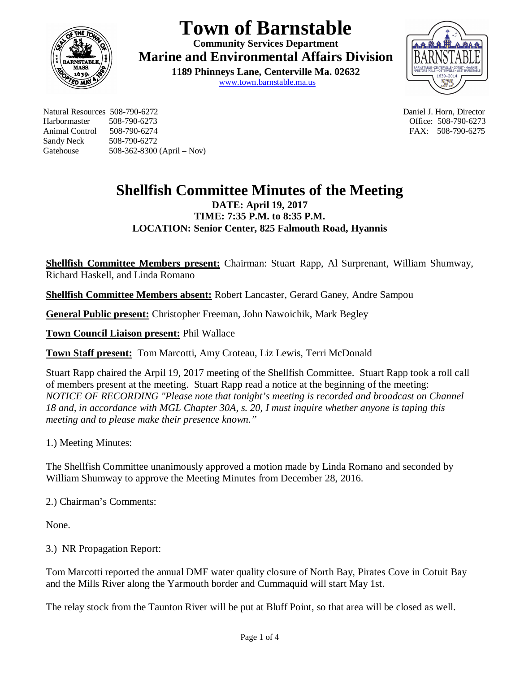

## **Town of Barnstable**

**Community Services Department Marine and Environmental Affairs Division** 

**1189 Phinneys Lane, Centerville Ma. 02632** www.town.barnstable.ma.us



Natural Resources 508-790-6272 Daniel J. Horn, Director Harbormaster 508-790-6273 Office: 508-790-6273 Sandy Neck 508-790-6272 Gatehouse 508-362-8300 (April – Nov)

FAX: 508-790-6275

## **Shellfish Committee Minutes of the Meeting DATE: April 19, 2017 TIME: 7:35 P.M. to 8:35 P.M. LOCATION: Senior Center, 825 Falmouth Road, Hyannis**

**Shellfish Committee Members present:** Chairman: Stuart Rapp, Al Surprenant, William Shumway, Richard Haskell, and Linda Romano

**Shellfish Committee Members absent:** Robert Lancaster, Gerard Ganey, Andre Sampou

**General Public present:** Christopher Freeman, John Nawoichik, Mark Begley

**Town Council Liaison present:** Phil Wallace

**Town Staff present:** Tom Marcotti, Amy Croteau, Liz Lewis, Terri McDonald

Stuart Rapp chaired the Arpil 19, 2017 meeting of the Shellfish Committee. Stuart Rapp took a roll call of members present at the meeting. Stuart Rapp read a notice at the beginning of the meeting: *NOTICE OF RECORDING "Please note that tonight's meeting is recorded and broadcast on Channel 18 and, in accordance with MGL Chapter 30A, s. 20, I must inquire whether anyone is taping this meeting and to please make their presence known."*

1.) Meeting Minutes:

The Shellfish Committee unanimously approved a motion made by Linda Romano and seconded by William Shumway to approve the Meeting Minutes from December 28, 2016.

2.) Chairman's Comments:

None.

3.) NR Propagation Report:

Tom Marcotti reported the annual DMF water quality closure of North Bay, Pirates Cove in Cotuit Bay and the Mills River along the Yarmouth border and Cummaquid will start May 1st.

The relay stock from the Taunton River will be put at Bluff Point, so that area will be closed as well.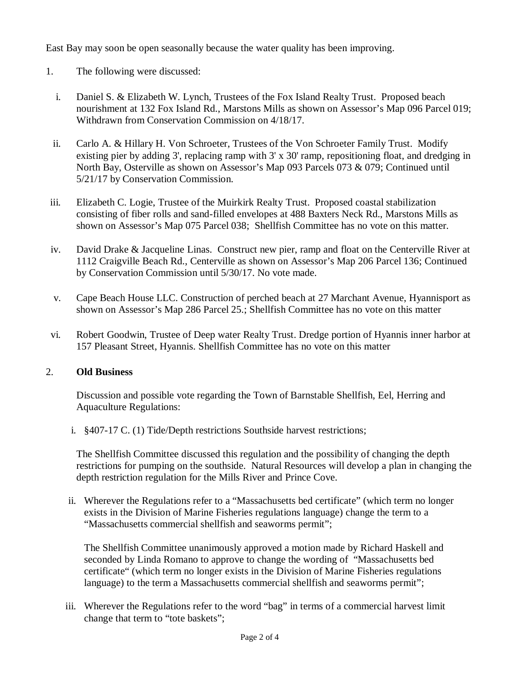East Bay may soon be open seasonally because the water quality has been improving.

- 1. The following were discussed:
	- i. Daniel S. & Elizabeth W. Lynch, Trustees of the Fox Island Realty Trust. Proposed beach nourishment at 132 Fox Island Rd., Marstons Mills as shown on Assessor's Map 096 Parcel 019; Withdrawn from Conservation Commission on 4/18/17.
- ii. Carlo A. & Hillary H. Von Schroeter, Trustees of the Von Schroeter Family Trust. Modify existing pier by adding 3', replacing ramp with 3' x 30' ramp, repositioning float, and dredging in North Bay, Osterville as shown on Assessor's Map 093 Parcels 073 & 079; Continued until 5/21/17 by Conservation Commission.
- iii. Elizabeth C. Logie, Trustee of the Muirkirk Realty Trust. Proposed coastal stabilization consisting of fiber rolls and sand-filled envelopes at 488 Baxters Neck Rd., Marstons Mills as shown on Assessor's Map 075 Parcel 038; Shellfish Committee has no vote on this matter.
- iv. David Drake & Jacqueline Linas. Construct new pier, ramp and float on the Centerville River at 1112 Craigville Beach Rd., Centerville as shown on Assessor's Map 206 Parcel 136; Continued by Conservation Commission until 5/30/17. No vote made.
- v. Cape Beach House LLC. Construction of perched beach at 27 Marchant Avenue, Hyannisport as shown on Assessor's Map 286 Parcel 25.; Shellfish Committee has no vote on this matter
- vi. Robert Goodwin, Trustee of Deep water Realty Trust. Dredge portion of Hyannis inner harbor at 157 Pleasant Street, Hyannis. Shellfish Committee has no vote on this matter

## 2. **Old Business**

Discussion and possible vote regarding the Town of Barnstable Shellfish, Eel, Herring and Aquaculture Regulations:

i. §407-17 C. (1) Tide/Depth restrictions Southside harvest restrictions;

The Shellfish Committee discussed this regulation and the possibility of changing the depth restrictions for pumping on the southside. Natural Resources will develop a plan in changing the depth restriction regulation for the Mills River and Prince Cove.

ii. Wherever the Regulations refer to a "Massachusetts bed certificate" (which term no longer exists in the Division of Marine Fisheries regulations language) change the term to a "Massachusetts commercial shellfish and seaworms permit";

The Shellfish Committee unanimously approved a motion made by Richard Haskell and seconded by Linda Romano to approve to change the wording of "Massachusetts bed certificate" (which term no longer exists in the Division of Marine Fisheries regulations language) to the term a Massachusetts commercial shellfish and seaworms permit";

iii. Wherever the Regulations refer to the word "bag" in terms of a commercial harvest limit change that term to "tote baskets";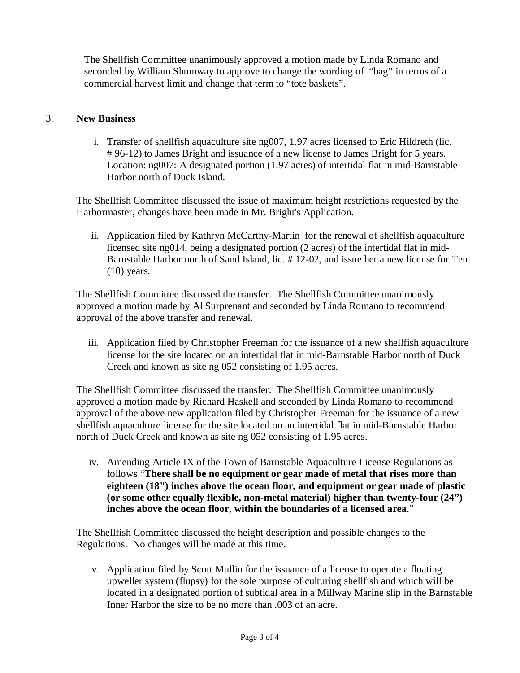The Shellfish Committee unanimously approved a motion made by Linda Romano and seconded by William Shumway to approve to change the wording of "bag" in terms of a commercial harvest limit and change that term to "tote baskets".

## 3. **New Business**

i. Transfer of shellfish aquaculture site ng007, 1.97 acres licensed to Eric Hildreth (lic. # 96-12) to James Bright and issuance of a new license to James Bright for 5 years. Location: ng007: A designated portion (1.97 acres) of intertidal flat in mid-Barnstable Harbor north of Duck Island.

The Shellfish Committee discussed the issue of maximum height restrictions requested by the Harbormaster, changes have been made in Mr. Bright's Application.

ii. Application filed by Kathryn McCarthy-Martin for the renewal of shellfish aquaculture licensed site ng014, being a designated portion (2 acres) of the intertidal flat in mid-Barnstable Harbor north of Sand Island, lic. # 12-02, and issue her a new license for Ten (10) years.

The Shellfish Committee discussed the transfer. The Shellfish Committee unanimously approved a motion made by Al Surprenant and seconded by Linda Romano to recommend approval of the above transfer and renewal.

iii. Application filed by Christopher Freeman for the issuance of a new shellfish aquaculture license for the site located on an intertidal flat in mid-Barnstable Harbor north of Duck Creek and known as site ng 052 consisting of 1.95 acres.

The Shellfish Committee discussed the transfer. The Shellfish Committee unanimously approved a motion made by Richard Haskell and seconded by Linda Romano to recommend approval of the above new application filed by Christopher Freeman for the issuance of a new shellfish aquaculture license for the site located on an intertidal flat in mid-Barnstable Harbor north of Duck Creek and known as site ng 052 consisting of 1.95 acres.

iv. Amending Article IX of the Town of Barnstable Aquaculture License Regulations as follows "**There shall be no equipment or gear made of metal that rises more than eighteen (18") inches above the ocean floor, and equipment or gear made of plastic (or some other equally flexible, non-metal material) higher than twenty-four (24") inches above the ocean floor, within the boundaries of a licensed area**."

The Shellfish Committee discussed the height description and possible changes to the Regulations. No changes will be made at this time.

v. Application filed by Scott Mullin for the issuance of a license to operate a floating upweller system (flupsy) for the sole purpose of culturing shellfish and which will be located in a designated portion of subtidal area in a Millway Marine slip in the Barnstable Inner Harbor the size to be no more than .003 of an acre.